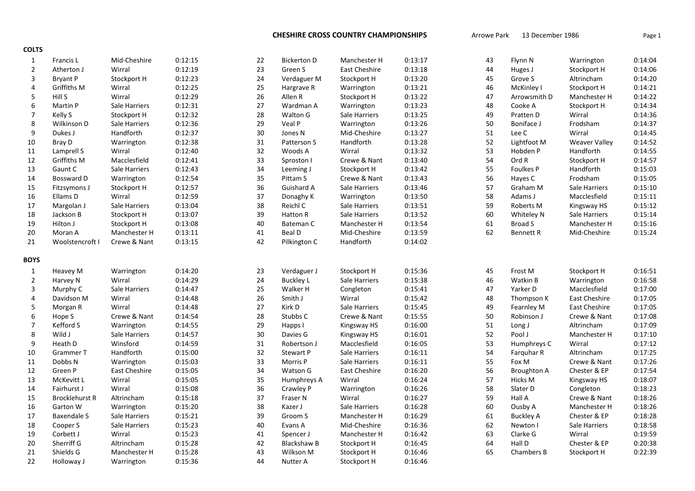| <b>COLTS</b>     |                       |               |         |    |                    |                      |         |        |                  |                      |         |
|------------------|-----------------------|---------------|---------|----|--------------------|----------------------|---------|--------|------------------|----------------------|---------|
| $\mathbf{1}$     | <b>Francis L</b>      | Mid-Cheshire  | 0:12:15 | 22 | <b>Bickerton D</b> | Manchester H         | 0:13:17 | 43     | Flynn N          | Warrington           | 0:14:04 |
| $\overline{2}$   | Atherton J            | Wirral        | 0:12:19 | 23 | Green S            | <b>East Cheshire</b> | 0:13:18 | $44\,$ | Huges J          | Stockport H          | 0:14:06 |
| 3                | <b>Bryant P</b>       | Stockport H   | 0:12:23 | 24 | Verdaguer M        | Stockport H          | 0:13:20 | 45     | Grove S          | Altrincham           | 0:14:20 |
| 4                | Griffiths M           | Wirral        | 0:12:25 | 25 | Hargrave R         | Warrington           | 0:13:21 | 46     | McKinley I       | Stockport H          | 0:14:21 |
| 5                | Hill S                | Wirral        | 0:12:29 | 26 | Allen R            | Stockport H          | 0:13:22 | 47     | Arrowsmith D     | Manchester H         | 0:14:22 |
| 6                | <b>Martin P</b>       | Sale Harriers | 0:12:31 | 27 | Wardman A          | Warrington           | 0:13:23 | 48     | Cooke A          | Stockport H          | 0:14:34 |
| $\overline{7}$   | Kelly S               | Stockport H   | 0:12:32 | 28 | Walton G           | Sale Harriers        | 0:13:25 | 49     | Pratten D        | Wirral               | 0:14:36 |
| 8                | Wilkinson D           | Sale Harriers | 0:12:36 | 29 | Veal P             | Warrington           | 0:13:26 | 50     | Boniface J       | Frodsham             | 0:14:37 |
| 9                | Dukes J               | Handforth     | 0:12:37 | 30 | Jones N            | Mid-Cheshire         | 0:13:27 | 51     | Lee C            | Wirral               | 0:14:45 |
| 10               | Bray D                | Warrington    | 0:12:38 | 31 | Patterson S        | Handforth            | 0:13:28 | 52     | Lightfoot M      | Weaver Valley        | 0:14:52 |
| 11               | Lamprell S            | Wirral        | 0:12:40 | 32 | Woods A            | Wirral               | 0:13:32 | 53     | Hobden P         | Handforth            | 0:14:55 |
| 12               | Griffiths M           | Macclesfield  | 0:12:41 | 33 | Sproston I         | Crewe & Nant         | 0:13:40 | 54     | Ord R            | Stockport H          | 0:14:57 |
| 13               | Gaunt C               | Sale Harriers | 0:12:43 | 34 | Leeming J          | Stockport H          | 0:13:42 | 55     | <b>Foulkes P</b> | Handforth            | 0:15:03 |
| 14               | Bossward D            | Warrington    | 0:12:54 | 35 | Pittam S           | Crewe & Nant         | 0:13:43 | 56     | Hayes C          | Frodsham             | 0:15:05 |
| 15               | Fitzsymons J          | Stockport H   | 0:12:57 | 36 | Guishard A         | Sale Harriers        | 0:13:46 | 57     | Graham M         | Sale Harriers        | 0:15:10 |
| 16               | Ellams D              | Wirral        | 0:12:59 | 37 | Donaghy K          | Warrington           | 0:13:50 | 58     | Adams J          | Macclesfield         | 0:15:11 |
| 17               | Margolan J            | Sale Harriers | 0:13:04 | 38 | Reichl C           | Sale Harriers        | 0:13:51 | 59     | Roberts M        | Kingsway HS          | 0:15:12 |
| 18               | Jackson B             | Stockport H   | 0:13:07 | 39 | Hatton R           | Sale Harriers        | 0:13:52 | 60     | Whiteley N       | Sale Harriers        | 0:15:14 |
| 19               | Hilton J              | Stockport H   | 0:13:08 | 40 | Bateman C          | Manchester H         | 0:13:54 | 61     | Broad S          | Manchester H         | 0:15:16 |
| 20               | Moran A               | Manchester H  | 0:13:11 | 41 | Beal D             | Mid-Cheshire         | 0:13:59 | 62     | <b>Bennett R</b> | Mid-Cheshire         | 0:15:24 |
| 21               | Woolstencroft I       | Crewe & Nant  | 0:13:15 | 42 | Pilkington C       | Handforth            | 0:14:02 |        |                  |                      |         |
|                  |                       |               |         |    |                    |                      |         |        |                  |                      |         |
| <b>BOYS</b>      |                       |               |         |    |                    |                      |         |        |                  |                      |         |
| $\mathbf{1}$     | <b>Heavey M</b>       | Warrington    | 0:14:20 | 23 | Verdaguer J        | Stockport H          | 0:15:36 | 45     | Frost M          | Stockport H          | 0:16:51 |
| $\overline{2}$   | Harvey N              | Wirral        | 0:14:29 | 24 | <b>Buckley L</b>   | Sale Harriers        | 0:15:38 | 46     | Watkin B         | Warrington           | 0:16:58 |
| 3                | Murphy C              | Sale Harriers | 0:14:47 | 25 | Walker H           | Congleton            | 0:15:41 | 47     | Yarker D         | Macclesfield         | 0:17:00 |
| 4                | Davidson M            | Wirral        | 0:14:48 | 26 | Smith J            | Wirral               | 0:15:42 | 48     | Thompson K       | <b>East Cheshire</b> | 0:17:05 |
| 5                | Morgan R              | Wirral        | 0:14:48 | 27 | Kirk D             | Sale Harriers        | 0:15:45 | 49     | Fearnley M       | <b>East Cheshire</b> | 0:17:05 |
| 6                | Hope S                | Crewe & Nant  | 0:14:54 | 28 | Stubbs C           | Crewe & Nant         | 0:15:55 | 50     | Robinson J       | Crewe & Nant         | 0:17:08 |
| $\boldsymbol{7}$ | Kefford S             | Warrington    | 0:14:55 | 29 | Happs I            | Kingsway HS          | 0:16:00 | 51     | Long J           | Altrincham           | 0:17:09 |
| 8                | Wild J                | Sale Harriers | 0:14:57 | 30 | Davies G           | Kingsway HS          | 0:16:01 | 52     | Pool J           | Manchester H         | 0:17:10 |
| 9                | Heath D               | Winsford      | 0:14:59 | 31 | Robertson J        | Macclesfield         | 0:16:05 | 53     | Humphreys C      | Wirral               | 0:17:12 |
| 10               | Grammer T             | Handforth     | 0:15:00 | 32 | Stewart P          | Sale Harriers        | 0:16:11 | 54     | Farquhar R       | Altrincham           | 0:17:25 |
| 11               | Dobbs N               | Warrington    | 0:15:03 | 33 | Morris P           | Sale Harriers        | 0:16:11 | 55     | Fox M            | Crewe & Nant         | 0:17:26 |
| 12               | Green P               | East Cheshire | 0:15:05 | 34 | Watson G           | East Cheshire        | 0:16:20 | 56     | Broughton A      | Chester & EP         | 0:17:54 |
| 13               | McKevitt L            | Wirral        | 0:15:05 | 35 | Humphreys A        | Wirral               | 0:16:24 | 57     | Hicks M          | Kingsway HS          | 0:18:07 |
| 14               | Fairhurst J           | Wirral        | 0:15:08 | 36 | Crawley P          | Warrington           | 0:16:26 | 58     | Slater D         | Congleton            | 0:18:23 |
| 15               | <b>Brocklehurst R</b> | Altrincham    | 0:15:18 | 37 | Fraser N           | Wirral               | 0:16:27 | 59     | Hall A           | Crewe & Nant         | 0:18:26 |
| 16               | Garton W              | Warrington    | 0:15:20 | 38 | Kazer J            | Sale Harriers        | 0:16:28 | 60     | Ousby A          | Manchester H         | 0:18:26 |
| 17               | <b>Baxendale S</b>    | Sale Harriers | 0:15:21 | 39 | Groom S            | Manchester H         | 0:16:29 | 61     | <b>Buckley A</b> | Chester & EP         | 0:18:28 |
| 18               | Cooper S              | Sale Harriers | 0:15:23 | 40 | Evans A            | Mid-Cheshire         | 0:16:36 | 62     | Newton I         | Sale Harriers        | 0:18:58 |
| 19               | Corbett J             | Wirral        | 0:15:23 | 41 | Spencer J          | Manchester H         | 0:16:42 | 63     | Clarke G         | Wirral               | 0:19:59 |
| 20               | Sherriff G            | Altrincham    | 0:15:28 | 42 | <b>Blackshaw B</b> | Stockport H          | 0:16:45 | 64     | Hall D           | Chester & EP         | 0:20:38 |
| 21               | Shields G             | Manchester H  | 0:15:28 | 43 | Wilkson M          | Stockport H          | 0:16:46 | 65     | Chambers B       | Stockport H          | 0:22:39 |
| 22               | Holloway J            | Warrington    | 0:15:36 | 44 | Nutter A           | Stockport H          | 0:16:46 |        |                  |                      |         |
|                  |                       |               |         |    |                    |                      |         |        |                  |                      |         |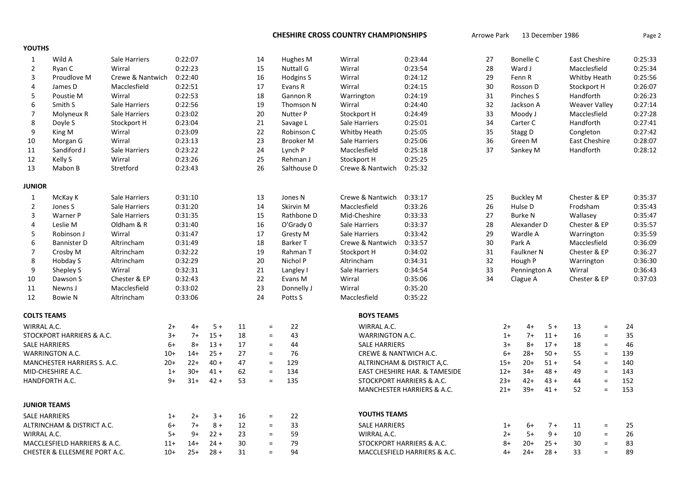| <b>YOUTHS</b>                 |                              |                  |         |         |        |                  |           |             |                                  |                               |                            |             |                  |              |                      |          |         |         |    |  |           |  |               |  |         |  |
|-------------------------------|------------------------------|------------------|---------|---------|--------|------------------|-----------|-------------|----------------------------------|-------------------------------|----------------------------|-------------|------------------|--------------|----------------------|----------|---------|---------|----|--|-----------|--|---------------|--|---------|--|
| 1                             | Wild A                       | Sale Harriers    | 0:22:07 |         |        |                  |           |             |                                  |                               |                            |             |                  |              | 14                   | Hughes M | Wirral  | 0:23:44 | 27 |  | Bonelle C |  | East Cheshire |  | 0:25:33 |  |
| $\overline{2}$                | Ryan C                       | Wirral           | 0:22:23 |         | 15     | <b>Nuttall G</b> | Wirral    | 0:23:54     | 28                               |                               | Ward J                     |             | Macclesfield     |              | 0:25:34              |          |         |         |    |  |           |  |               |  |         |  |
| 3                             | Proudlove M                  | Crewe & Nantwich |         | 0:22:40 |        | 16               | Hodgins S | Wirral      | 0:24:12                          | 29                            |                            | Fenn R      |                  | Whitby Heath |                      | 0:25:56  |         |         |    |  |           |  |               |  |         |  |
| 4                             | James D                      | Macclesfield     |         | 0:22:51 |        | 17               | Evans R   | Wirral      | 0:24:15                          | 30                            |                            | Rosson D    |                  | Stockport H  |                      | 0:26:07  |         |         |    |  |           |  |               |  |         |  |
| 5                             | Poustie M                    | Wirral           |         | 0:22:53 |        |                  | 18        | Gannon R    | Warrington                       | 0:24:19                       | 31                         |             | Pinches S        |              | Handforth            |          | 0:26:23 |         |    |  |           |  |               |  |         |  |
| 6                             | Smith S                      | Sale Harriers    |         | 0:22:56 |        |                  | 19        | Thomson N   | Wirral                           | 0:24:40                       | 32                         |             | Jackson A        |              | <b>Weaver Valley</b> |          | 0:27:14 |         |    |  |           |  |               |  |         |  |
| $\overline{7}$                | Molyneux R                   | Sale Harriers    |         | 0:23:02 |        |                  | 20        | Nutter P    | Stockport H                      | 0:24:49                       | 33                         |             | Moody J          |              | Macclesfield         |          | 0:27:28 |         |    |  |           |  |               |  |         |  |
| 8                             | Doyle S                      | Stockport H      |         | 0:23:04 |        |                  | 21        | Savage L    | Sale Harriers                    | 0:25:01                       | 34                         |             | Carter C         |              | Handforth            |          | 0:27:41 |         |    |  |           |  |               |  |         |  |
| 9                             | King M                       | Wirral           |         | 0:23:09 |        |                  | 22        | Robinson C  | Whitby Heath                     | 0:25:05                       | 35                         |             | Stagg D          |              | Congleton            |          | 0:27:42 |         |    |  |           |  |               |  |         |  |
| 10                            | Morgan G                     | Wirral           |         | 0:23:13 |        |                  | 23        | Brooker M   | Sale Harriers                    | 0:25:06                       | 36                         |             | Green M          |              | <b>East Cheshire</b> |          | 0:28:07 |         |    |  |           |  |               |  |         |  |
| 11                            | Sandiford J                  | Sale Harriers    |         | 0:23:22 |        |                  | 24        | Lynch P     | Macclesfield                     | 0:25:18                       | 37                         |             | Sankey M         |              | Handforth            |          | 0:28:12 |         |    |  |           |  |               |  |         |  |
| 12                            | Kelly S                      | Wirral           |         | 0:23:26 |        |                  | 25        | Rehman J    | Stockport H                      | 0:25:25                       |                            |             |                  |              |                      |          |         |         |    |  |           |  |               |  |         |  |
| 13                            | Mabon B                      | Stretford        |         | 0:23:43 |        |                  | 26        | Salthouse D | Crewe & Nantwich                 | 0:25:32                       |                            |             |                  |              |                      |          |         |         |    |  |           |  |               |  |         |  |
| <b>JUNIOR</b>                 |                              |                  |         |         |        |                  |           |             |                                  |                               |                            |             |                  |              |                      |          |         |         |    |  |           |  |               |  |         |  |
| $\mathbf{1}$                  | McKay K                      | Sale Harriers    |         | 0:31:10 |        |                  | 13        | Jones N     | Crewe & Nantwich                 | 0:33:17                       | 25                         |             | <b>Buckley M</b> |              | Chester & EP         |          | 0:35:37 |         |    |  |           |  |               |  |         |  |
| $\overline{2}$                | Jones S                      | Sale Harriers    |         | 0:31:20 |        |                  | 14        | Skirvin M   | Macclesfield                     | 0:33:26                       |                            | Hulse D     |                  |              | Frodsham             |          | 0:35:43 |         |    |  |           |  |               |  |         |  |
| 3                             | Warner P                     | Sale Harriers    | 0:31:35 |         |        |                  | 15        | Rathbone D  | Mid-Cheshire                     | 0:33:33                       | 26<br><b>Burke N</b><br>27 |             |                  |              | Wallasey             |          | 0:35:47 |         |    |  |           |  |               |  |         |  |
| 4                             | Leslie M                     | Oldham & R       | 0:31:40 |         |        | 16               |           | O'Grady 0   | Sale Harriers                    | 0:33:37                       | 28                         | Alexander D |                  |              | Chester & EP         |          | 0:35:57 |         |    |  |           |  |               |  |         |  |
| 5                             | Robinson J                   | Wirral           |         | 0:31:47 |        |                  | 17        | Gresty M    | Sale Harriers                    | 0:33:42                       | 29                         |             | Wardle A         |              | Warrington           |          | 0:35:59 |         |    |  |           |  |               |  |         |  |
| 6                             | <b>Bannister D</b>           | Altrincham       | 0:31:49 |         |        | 18               |           | Barker T    | Crewe & Nantwich                 | 0:33:57                       | 30                         |             | Park A           |              | Macclesfield         |          | 0:36:09 |         |    |  |           |  |               |  |         |  |
| $\overline{7}$                | Crosby M                     | Altrincham       |         | 0:32:22 |        |                  | 19        | Rahman T    | Stockport H                      | 0:34:02                       | 31                         |             | Faulkner N       |              | Chester & EP         |          | 0:36:27 |         |    |  |           |  |               |  |         |  |
| 8                             | Hobday S                     | Altrincham       |         | 0:32:29 |        |                  | 20        | Nichol P    | Altrincham                       | 0:34:31                       | 32                         |             | Hough P          |              | Warrington           |          | 0:36:30 |         |    |  |           |  |               |  |         |  |
| 9                             | Shepley S                    | Wirral           |         | 0:32:31 |        |                  | 21        | Langley I   | Sale Harriers                    | 0:34:54                       | 33                         |             | Pennington A     |              | Wirral               |          | 0:36:43 |         |    |  |           |  |               |  |         |  |
| 10                            | Dawson S                     | Chester & EP     |         | 0:32:43 |        |                  | 22        | Evans M     | Wirral                           | 0:35:06                       | 34                         |             | Clague A         |              | Chester & EP         |          | 0:37:03 |         |    |  |           |  |               |  |         |  |
| 11                            | Newns J                      | Macclesfield     |         | 0:33:02 |        |                  | 23        | Donnelly J  | Wirral                           | 0:35:20                       |                            |             |                  |              |                      |          |         |         |    |  |           |  |               |  |         |  |
| 12                            | <b>Bowie N</b>               | Altrincham       |         | 0:33:06 |        |                  | 24        | Potts S     | Macclesfield                     | 0:35:22                       |                            |             |                  |              |                      |          |         |         |    |  |           |  |               |  |         |  |
| <b>COLTS TEAMS</b>            |                              |                  |         |         |        |                  |           |             | <b>BOYS TEAMS</b>                |                               |                            |             |                  |              |                      |          |         |         |    |  |           |  |               |  |         |  |
| WIRRAL A.C.                   |                              |                  | $2+$    | $4+$    | $5+$   | 11               | $\equiv$  | 22          | WIRRAL A.C.                      |                               |                            | $2+$        | 4+               | $5+$         | 13                   | $\equiv$ | 24      |         |    |  |           |  |               |  |         |  |
|                               | STOCKPORT HARRIERS & A.C.    |                  | $3+$    | $7+$    | $15 +$ | 18               | $\equiv$  | 43          | WARRINGTON A.C.                  |                               |                            | $1+$        | $7+$             | $11 +$       | 16                   | $\equiv$ | 35      |         |    |  |           |  |               |  |         |  |
| <b>SALE HARRIERS</b>          |                              |                  | $6+$    | $8+$    | $13 +$ | 17               | $=$       | 44          | <b>SALE HARRIERS</b>             |                               |                            | $3+$        | 8+               | $17 +$       | 18                   | $\equiv$ | 46      |         |    |  |           |  |               |  |         |  |
|                               | WARRINGTON A.C.              |                  | $10+$   | $14+$   | $25 +$ | 27               | $=$       | 76          | <b>CREWE &amp; NANTWICH A.C.</b> |                               |                            | $6+$        | $28+$            | $50 +$       | 55                   | $\equiv$ | 139     |         |    |  |           |  |               |  |         |  |
|                               | MANCHESTER HARRIERS S. A.C.  |                  | $20+$   | $22+$   | $40 +$ | 47               | $\equiv$  | 129         |                                  | ALTRINCHAM & DISTRICT A,C.    |                            | $15+$       | $20+$            | $51 +$       | 54                   | $\equiv$ | 140     |         |    |  |           |  |               |  |         |  |
|                               | MID-CHESHIRE A.C.            |                  | $1+$    | $30+$   | $41 +$ | 62               | $\equiv$  | 134         |                                  | EAST CHESHIRE HAR. & TAMESIDE |                            | $12+$       | $34+$            | $48 +$       | 49                   | $\equiv$ | 143     |         |    |  |           |  |               |  |         |  |
|                               | HANDFORTH A.C.               |                  | $9+$    | $31+$   | $42 +$ | 53               | $\equiv$  | 135         |                                  | STOCKPORT HARRIERS & A.C.     |                            | $23+$       | $42+$            | $43 +$       | 44                   | $\equiv$ | 152     |         |    |  |           |  |               |  |         |  |
|                               |                              |                  |         |         |        |                  |           |             |                                  | MANCHESTER HARRIERS & A.C.    |                            | $21+$       | $39+$            | $41 +$       | 52                   | $\equiv$ | 153     |         |    |  |           |  |               |  |         |  |
| <b>JUNIOR TEAMS</b>           |                              |                  |         |         |        |                  |           |             |                                  |                               |                            |             |                  |              |                      |          |         |         |    |  |           |  |               |  |         |  |
| <b>SALE HARRIERS</b>          |                              |                  | $1+$    | $2+$    | $3 +$  | 16               | $\equiv$  | 22          | YOUTHS TEAMS                     |                               |                            |             |                  |              |                      |          |         |         |    |  |           |  |               |  |         |  |
|                               | ALTRINCHAM & DISTRICT A.C.   |                  | $6+$    | $7+$    | $8+$   | 12               | $\equiv$  | 33          | <b>SALE HARRIERS</b>             |                               |                            | $1+$        | 6+               | $7+$         | 11                   | $\equiv$ | 25      |         |    |  |           |  |               |  |         |  |
| WIRRAL A.C.                   |                              |                  | $5+$    | $9+$    | $22 +$ | 23               | $\equiv$  | 59          | WIRRAL A.C.                      |                               |                            | $2+$        | $5+$             | $9+$         | 10                   | $\equiv$ | 26      |         |    |  |           |  |               |  |         |  |
|                               | MACCLESFIELD HARRIERS & A.C. |                  | $11+$   | $14+$   | $24 +$ | 30               | $=$       | 79          |                                  | STOCKPORT HARRIERS & A.C.     |                            | $8+$        | $20+$            | $25 +$       | 30                   | $\equiv$ | 83      |         |    |  |           |  |               |  |         |  |
| CHESTER & ELLESMERE PORT A.C. |                              |                  | $10+$   | $25+$   | $28 +$ | 31               | $\equiv$  | 94          | MACCLESFIELD HARRIERS & A.C.     |                               | $4+$                       | $24+$       | $28 +$           | 33           | $\equiv$             | 89       |         |         |    |  |           |  |               |  |         |  |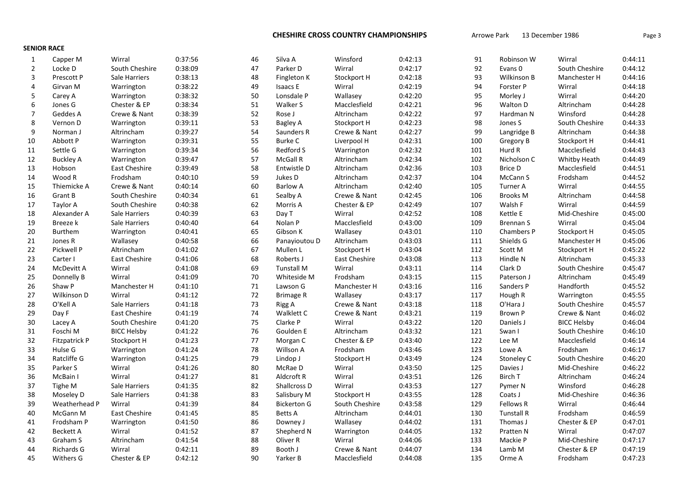SENIOR RACE

| 1              | Capper M               | Wirral             | 0:37:56 | 46 | Silva A            | Winsford       | 0:42:13 | 91  | Robinson W          | Wirral                    | 0:44:11 |
|----------------|------------------------|--------------------|---------|----|--------------------|----------------|---------|-----|---------------------|---------------------------|---------|
| $\overline{2}$ | Locke D                | South Cheshire     | 0:38:09 | 47 | Parker D           | Wirral         | 0:42:17 | 92  | Evans 0             | South Cheshire            | 0:44:12 |
| 3              | Prescott P             | Sale Harriers      | 0:38:13 | 48 | Fingleton K        | Stockport H    | 0:42:18 | 93  | Wilkinson B         | Manchester H              | 0:44:16 |
| 4              | Girvan M               | Warrington         | 0:38:22 | 49 | Isaacs E           | Wirral         | 0:42:19 | 94  | Forster P           | Wirral                    | 0:44:18 |
| 5              | Carey A                | Warrington         | 0:38:32 | 50 | Lonsdale P         | Wallasey       | 0:42:20 | 95  | Morley J            | Wirral                    | 0:44:20 |
| 6              | Jones G                | Chester & EP       | 0:38:34 | 51 | Walker S           | Macclesfield   | 0:42:21 | 96  | Walton D            | Altrincham                | 0:44:28 |
| $\overline{7}$ | Geddes A               | Crewe & Nant       | 0:38:39 | 52 | Rose J             | Altrincham     | 0:42:22 | 97  | Hardman N           | Winsford                  | 0:44:28 |
| 8              | Vernon D               | Warrington         | 0:39:11 | 53 | Bagley A           | Stockport H    | 0:42:23 | 98  | Jones S             | South Cheshire            | 0:44:33 |
| 9              | Norman J               | Altrincham         | 0:39:27 | 54 | Saunders R         | Crewe & Nant   | 0:42:27 | 99  | Langridge B         | Altrincham                | 0:44:38 |
| 10             | Abbott P               | Warrington         | 0:39:31 | 55 | <b>Burke C</b>     | Liverpool H    | 0:42:31 | 100 | Gregory B           | Stockport H               | 0:44:41 |
| 11             | Settle G               | Warrington         | 0:39:34 | 56 | Redford S          | Warrington     | 0:42:32 | 101 | Hurd R              | Macclesfield              | 0:44:43 |
| 12             | <b>Buckley A</b>       | Warrington         | 0:39:47 | 57 | McGall R           | Altrincham     | 0:42:34 | 102 | Nicholson C         | Whitby Heath              | 0:44:49 |
| 13             | Hobson                 | East Cheshire      | 0:39:49 | 58 | Entwistle D        | Altrincham     | 0:42:36 | 103 | <b>Brice D</b>      | Macclesfield              | 0:44:51 |
| 14             | Wood R                 | Frodsham           | 0:40:10 | 59 | Jukes D            | Altrincham     | 0:42:37 | 104 | McCann <sub>S</sub> | Frodsham                  | 0:44:52 |
| 15             | Thiemicke A            | Crewe & Nant       | 0:40:14 | 60 | Barlow A           | Altrincham     | 0:42:40 | 105 | Turner A            | Wirral                    | 0:44:55 |
| 16             | Grant B                | South Cheshire     | 0:40:34 | 61 | Sealby A           | Crewe & Nant   | 0:42:45 | 106 | <b>Brooks M</b>     | Altrincham                | 0:44:58 |
| 17             | Taylor A               | South Cheshire     | 0:40:38 | 62 | Morris A           | Chester & EP   | 0:42:49 | 107 | Walsh F             | Wirral                    | 0:44:59 |
| 18             | Alexander A            | Sale Harriers      | 0:40:39 | 63 | Day T              | Wirral         | 0:42:52 | 108 | Kettle E            | Mid-Cheshire              | 0:45:00 |
| 19             | Breeze k               | Sale Harriers      | 0:40:40 | 64 | Nolan P            | Macclesfield   | 0:43:00 | 109 | Brennan S           | Wirral                    | 0:45:04 |
| 20             | <b>Burthem</b>         | Warrington         | 0:40:41 | 65 | Gibson K           | Wallasey       | 0:43:01 | 110 | Chambers P          | Stockport H               | 0:45:05 |
| 21             | Jones R                | Wallasey           | 0:40:58 | 66 | Panayioutou D      | Altrincham     | 0:43:03 | 111 | Shields G           | Manchester H              | 0:45:06 |
| 22             | Pickwell P             | Altrincham         | 0:41:02 | 67 | Mullen L           | Stockport H    | 0:43:04 | 112 | Scott M             |                           | 0:45:22 |
| 23             |                        | East Cheshire      | 0:41:06 | 68 | Roberts J          | East Cheshire  | 0:43:08 | 113 | Hindle N            | Stockport H<br>Altrincham | 0:45:33 |
| 24             | Carter I<br>McDevitt A | Wirral             | 0:41:08 | 69 | <b>Tunstall M</b>  | Wirral         | 0:43:11 | 114 | Clark D             | South Cheshire            | 0:45:47 |
|                |                        |                    |         | 70 |                    |                |         | 115 |                     |                           | 0:45:49 |
| 25             | Donnelly B             | Wirral             | 0:41:09 |    | Whiteside M        | Frodsham       | 0:43:15 |     | Paterson J          | Altrincham                |         |
| 26             | Shaw P                 | Manchester H       | 0:41:10 | 71 | Lawson G           | Manchester H   | 0:43:16 | 116 | Sanders P           | Handforth                 | 0:45:52 |
| 27             | Wilkinson D            | Wirral             | 0:41:12 | 72 | <b>Brimage R</b>   | Wallasey       | 0:43:17 | 117 | Hough R             | Warrington                | 0:45:55 |
| 28             | O'Kell A               | Sale Harriers      | 0:41:18 | 73 | Rigg A             | Crewe & Nant   | 0:43:18 | 118 | O'Hara J            | South Cheshire            | 0:45:57 |
| 29             | Day F                  | East Cheshire      | 0:41:19 | 74 | Walklett C         | Crewe & Nant   | 0:43:21 | 119 | Brown P             | Crewe & Nant              | 0:46:02 |
| 30             | Lacey A                | South Cheshire     | 0:41:20 | 75 | Clarke P           | Wirral         | 0:43:22 | 120 | Daniels J           | <b>BICC Helsby</b>        | 0:46:04 |
| 31             | Foschi M               | <b>BICC Helsby</b> | 0:41:22 | 76 | Goulden E          | Altrincham     | 0:43:32 | 121 | Swan I              | South Cheshire            | 0:46:10 |
| 32             | <b>Fitzpatrick P</b>   | Stockport H        | 0:41:23 | 77 | Morgan C           | Chester & EP   | 0:43:40 | 122 | Lee M               | Macclesfield              | 0:46:14 |
| 33             | Hulse G                | Warrington         | 0:41:24 | 78 | Willson A          | Frodsham       | 0:43:46 | 123 | Lowe A              | Frodsham                  | 0:46:17 |
| 34             | Ratcliffe G            | Warrington         | 0:41:25 | 79 | Lindop J           | Stockport H    | 0:43:49 | 124 | Stoneley C          | South Cheshire            | 0:46:20 |
| 35             | Parker S               | Wirral             | 0:41:26 | 80 | McRae D            | Wirral         | 0:43:50 | 125 | Davies J            | Mid-Cheshire              | 0:46:22 |
| 36             | McBain I               | Wirral             | 0:41:27 | 81 | Aldcroft R         | Wirral         | 0:43:51 | 126 | Birch T             | Altrincham                | 0:46:24 |
| 37             | Tighe M                | Sale Harriers      | 0:41:35 | 82 | Shallcross D       | Wirral         | 0:43:53 | 127 | Pymer N             | Winsford                  | 0:46:28 |
| 38             | Moseley D              | Sale Harriers      | 0:41:38 | 83 | Salisbury M        | Stockport H    | 0:43:55 | 128 | Coats J             | Mid-Cheshire              | 0:46:36 |
| 39             | Weatherhead P          | Wirral             | 0:41:39 | 84 | <b>Bickerton G</b> | South Cheshire | 0:43:58 | 129 | <b>Fellows R</b>    | Wirral                    | 0:46:44 |
| 40             | McGann M               | East Cheshire      | 0:41:45 | 85 | Betts A            | Altrincham     | 0:44:01 | 130 | <b>Tunstall R</b>   | Frodsham                  | 0:46:59 |
| 41             | Frodsham P             | Warrington         | 0:41:50 | 86 | Downey J           | Wallasey       | 0:44:02 | 131 | Thomas J            | Chester & EP              | 0:47:01 |
| 42             | <b>Beckett A</b>       | Wirral             | 0:41:52 | 87 | Shepherd N         | Warrington     | 0:44:05 | 132 | Pratten N           | Wirral                    | 0:47:07 |
| 43             | Graham S               | Altrincham         | 0:41:54 | 88 | Oliver R           | Wirral         | 0:44:06 | 133 | Mackie P            | Mid-Cheshire              | 0:47:17 |
| 44             | <b>Richards G</b>      | Wirral             | 0:42:11 | 89 | Booth J            | Crewe & Nant   | 0:44:07 | 134 | Lamb M              | Chester & EP              | 0:47:19 |
| 45             | Withers G              | Chester & EP       | 0:42:12 | 90 | Yarker B           | Macclesfield   | 0:44:08 | 135 | Orme A              | Frodsham                  | 0:47:23 |